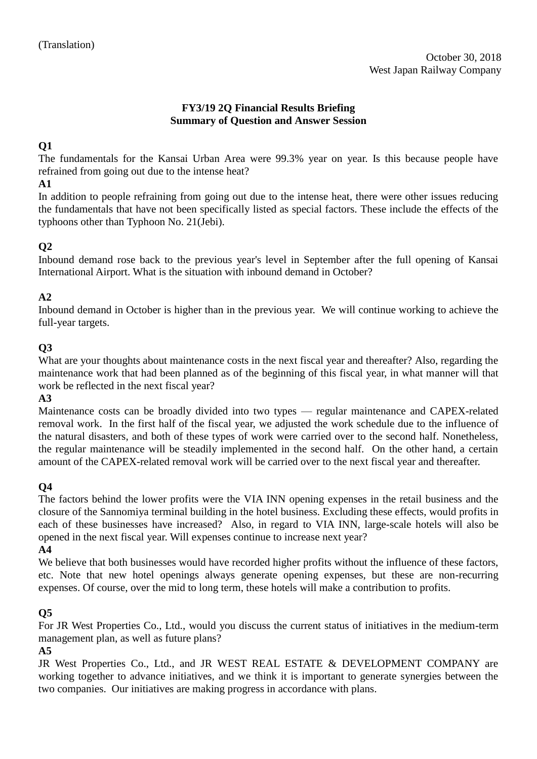### **FY3/19 2Q Financial Results Briefing Summary of Question and Answer Session**

## **Q1**

The fundamentals for the Kansai Urban Area were 99.3% year on year. Is this because people have refrained from going out due to the intense heat?

## **A1**

In addition to people refraining from going out due to the intense heat, there were other issues reducing the fundamentals that have not been specifically listed as special factors. These include the effects of the typhoons other than Typhoon No. 21(Jebi).

# **Q2**

Inbound demand rose back to the previous year's level in September after the full opening of Kansai International Airport. What is the situation with inbound demand in October?

# **A2**

Inbound demand in October is higher than in the previous year. We will continue working to achieve the full-year targets.

## **Q3**

What are your thoughts about maintenance costs in the next fiscal year and thereafter? Also, regarding the maintenance work that had been planned as of the beginning of this fiscal year, in what manner will that work be reflected in the next fiscal year?

#### **A3**

Maintenance costs can be broadly divided into two types — regular maintenance and CAPEX-related removal work. In the first half of the fiscal year, we adjusted the work schedule due to the influence of the natural disasters, and both of these types of work were carried over to the second half. Nonetheless, the regular maintenance will be steadily implemented in the second half. On the other hand, a certain amount of the CAPEX-related removal work will be carried over to the next fiscal year and thereafter.

## **Q4**

The factors behind the lower profits were the VIA INN opening expenses in the retail business and the closure of the Sannomiya terminal building in the hotel business. Excluding these effects, would profits in each of these businesses have increased? Also, in regard to VIA INN, large-scale hotels will also be opened in the next fiscal year. Will expenses continue to increase next year?

#### **A4**

We believe that both businesses would have recorded higher profits without the influence of these factors, etc. Note that new hotel openings always generate opening expenses, but these are non-recurring expenses. Of course, over the mid to long term, these hotels will make a contribution to profits.

#### **Q5**

For JR West Properties Co., Ltd., would you discuss the current status of initiatives in the medium-term management plan, as well as future plans?

#### **A5**

JR West Properties Co., Ltd., and JR WEST REAL ESTATE & DEVELOPMENT COMPANY are working together to advance initiatives, and we think it is important to generate synergies between the two companies. Our initiatives are making progress in accordance with plans.